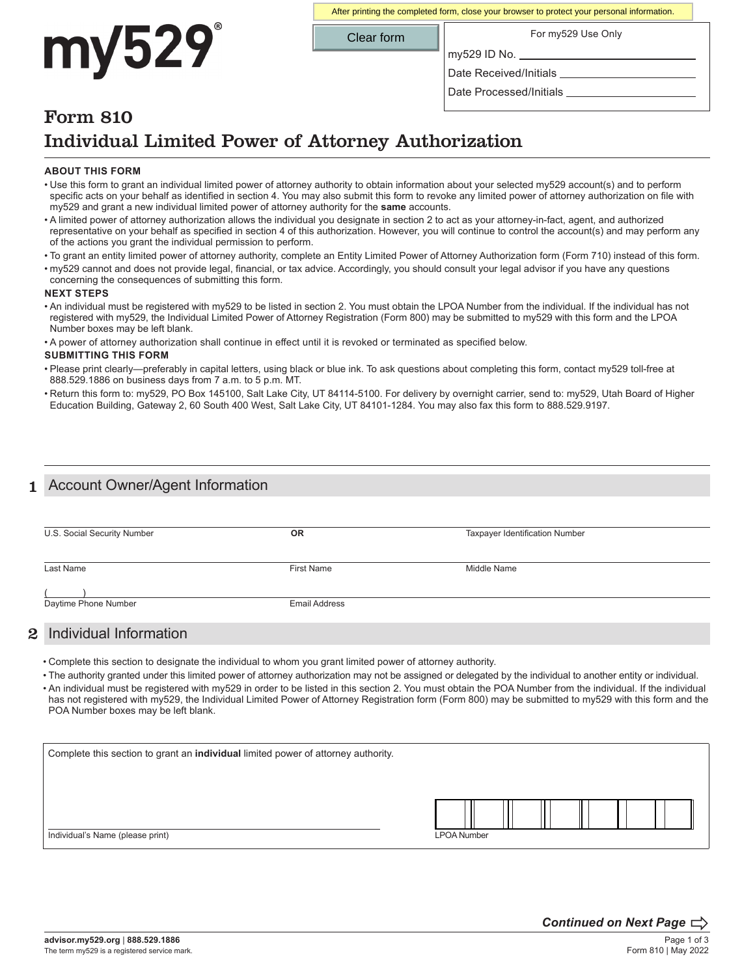# my529

After printing the completed form, close your browser to protect your personal information.

Clear form

For my529 Use Only

Date Received/Initials

my529 ID No.

Date Processed/Initials \_

## Form 810 Individual Limited Power of Attorney Authorization

#### **ABOUT THIS FORM**

- Use this form to grant an individual limited power of attorney authority to obtain information about your selected my529 account(s) and to perform specific acts on your behalf as identified in section 4. You may also submit this form to revoke any limited power of attorney authorization on file with my529 and grant a new individual limited power of attorney authority for the **same** accounts.
- A limited power of attorney authorization allows the individual you designate in section 2 to act as your attorney-in-fact, agent, and authorized representative on your behalf as specified in section 4 of this authorization. However, you will continue to control the account(s) and may perform any of the actions you grant the individual permission to perform.
- To grant an entity limited power of attorney authority, complete an Entity Limited Power of Attorney Authorization form (Form 710) instead of this form.
- my529 cannot and does not provide legal, financial, or tax advice. Accordingly, you should consult your legal advisor if you have any questions concerning the consequences of submitting this form.

#### **NEXT STEPS**

• An individual must be registered with my529 to be listed in section 2. You must obtain the LPOA Number from the individual. If the individual has not registered with my529, the Individual Limited Power of Attorney Registration (Form 800) may be submitted to my529 with this form and the LPOA Number boxes may be left blank.

• A power of attorney authorization shall continue in effect until it is revoked or terminated as specified below.

#### **SUBMITTING THIS FORM**

- Please print clearly—preferably in capital letters, using black or blue ink. To ask questions about completing this form, contact my529 toll-free at 888.529.1886 on business days from 7 a.m. to 5 p.m. MT.
- Return this form to: my529, PO Box 145100, Salt Lake City, UT 84114-5100. For delivery by overnight carrier, send to: my529, Utah Board of Higher Education Building, Gateway 2, 60 South 400 West, Salt Lake City, UT 84101-1284. You may also fax this form to 888.529.9197.

## Account Owner/Agent Information

| U.S. Social Security Number | <b>OR</b>            | <b>Taxpayer Identification Number</b> |  |
|-----------------------------|----------------------|---------------------------------------|--|
| Last Name                   | First Name           | Middle Name                           |  |
| Daytime Phone Number        | <b>Email Address</b> |                                       |  |
| 2 Individual Information    |                      |                                       |  |

• Complete this section to designate the individual to whom you grant limited power of attorney authority.

- The authority granted under this limited power of attorney authorization may not be assigned or delegated by the individual to another entity or individual.
- An individual must be registered with my529 in order to be listed in this section 2. You must obtain the POA Number from the individual. If the individual has not registered with my529, the Individual Limited Power of Attorney Registration form (Form 800) may be submitted to my529 with this form and the POA Number boxes may be left blank.

| Complete this section to grant an individual limited power of attorney authority. |                    |  |  |  |  |  |
|-----------------------------------------------------------------------------------|--------------------|--|--|--|--|--|
|                                                                                   |                    |  |  |  |  |  |
|                                                                                   |                    |  |  |  |  |  |
| Individual's Name (please print)                                                  | <b>LPOA Number</b> |  |  |  |  |  |

*Continued on Next Page*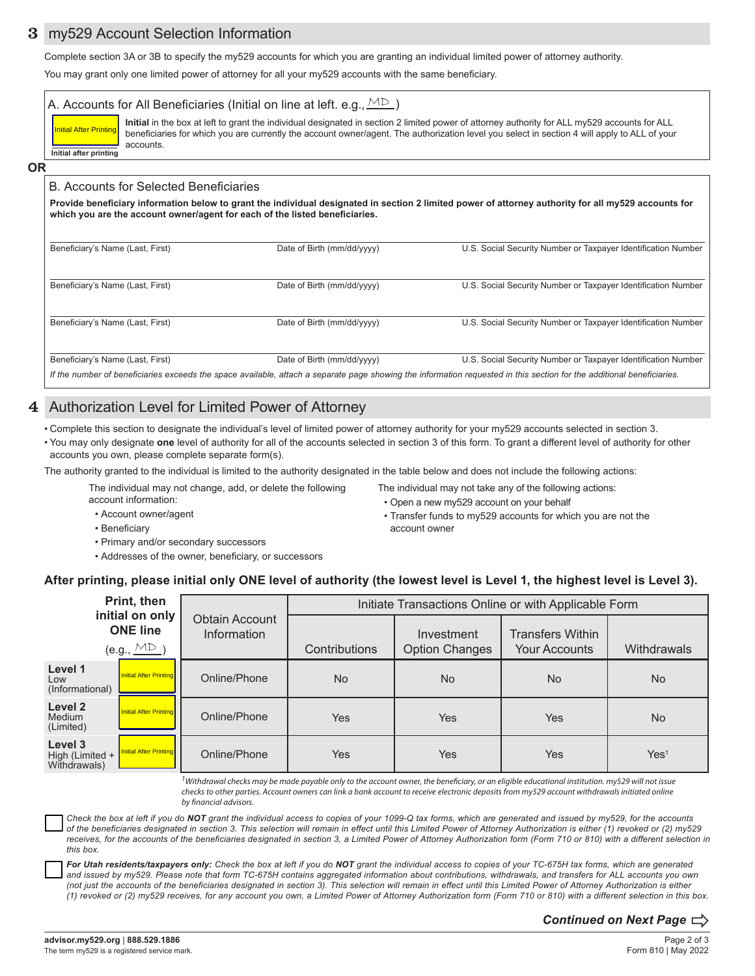## 3 my529 Account Selection Information

Complete section 3A or 3B to specify the my529 accounts for which you are granting an individual limited power of attorney authority.

You may grant only one limited power of attorney for all your my529 accounts with the same beneficiary.

**Initial** in the box at left to grant the individual designated in section 2 limited power of attorney authority for ALL my529 accounts for ALL beneficiaries for which you are currently the account owner/agent. The authorization level you select in section 4 will apply to ALL of your accounts. A. Accounts for All Beneficiaries (Initial on line at left. e.g.,  $\overset{\textup{M}\textup{D}}{\sim}$  ) **Initial after printing Initial After Printi** 

#### **OR**

#### B. Accounts for Selected Beneficiaries

**Provide beneficiary information below to grant the individual designated in section 2 limited power of attorney authority for all my529 accounts for which you are the account owner/agent for each of the listed beneficiaries.**

| Beneficiary's Name (Last, First)                                                                                                                                       | Date of Birth (mm/dd/yyyy) | U.S. Social Security Number or Taxpayer Identification Number |  |  |
|------------------------------------------------------------------------------------------------------------------------------------------------------------------------|----------------------------|---------------------------------------------------------------|--|--|
| Beneficiary's Name (Last, First)                                                                                                                                       | Date of Birth (mm/dd/yyyy) | U.S. Social Security Number or Taxpayer Identification Number |  |  |
| Beneficiary's Name (Last, First)                                                                                                                                       | Date of Birth (mm/dd/yyyy) | U.S. Social Security Number or Taxpayer Identification Number |  |  |
| Beneficiary's Name (Last, First)                                                                                                                                       | Date of Birth (mm/dd/yyyy) | U.S. Social Security Number or Taxpayer Identification Number |  |  |
| If the number of beneficiaries exceeds the space available, attach a separate page showing the information requested in this section for the additional beneficiaries. |                            |                                                               |  |  |

## 4 Authorization Level for Limited Power of Attorney

- Complete this section to designate the individual's level of limited power of attorney authority for your my529 accounts selected in section 3.
- You may only designate **one** level of authority for all of the accounts selected in section 3 of this form. To grant a different level of authority for other accounts you own, please complete separate form(s).

The authority granted to the individual is limited to the authority designated in the table below and does not include the following actions:

The individual may not change, add, or delete the following account information:

The individual may not take any of the following actions: • Open a new my529 account on your behalf

• Transfer funds to my529 accounts for which you are not the

- Account owner/agent
- Beneficiary
- Primary and/or secondary successors
- Addresses of the owner, beneficiary, or successors
- **After printing, please initial only ONE level of authority (the lowest level is Level 1, the highest level is Level 3).**

account owner

| Print, then                                                           |                                      | Initiate Transactions Online or with Applicable Form |                                     |                                                 |                  |  |
|-----------------------------------------------------------------------|--------------------------------------|------------------------------------------------------|-------------------------------------|-------------------------------------------------|------------------|--|
| initial on only<br><b>ONE line</b><br>$(e.g., \underline{\text{MD}})$ | <b>Obtain Account</b><br>Information | Contributions                                        | Investment<br><b>Option Changes</b> | <b>Transfers Within</b><br><b>Your Accounts</b> | Withdrawals      |  |
| Level 1<br>Initial After Printing<br>Low<br>(Informational)           | Online/Phone                         | <b>No</b>                                            | <b>No</b>                           | <b>No</b>                                       | <b>No</b>        |  |
| Level 2<br>Initial After Printing<br>Medium<br>(Limited)              | Online/Phone                         | Yes                                                  | Yes                                 | Yes                                             | <b>No</b>        |  |
| Level 3<br>Initial After Printing<br>High (Limited +<br>Withdrawals)  | Online/Phone                         | Yes                                                  | <b>Yes</b>                          | Yes                                             | Yes <sup>1</sup> |  |

*1 Withdrawal checks may be made payable only to the account owner, the beneficiary, or an eligible educational institution. my529 will not issue checks to other parties. Account owners can link a bank account to receive electronic deposits from my529 account withdrawals initiated online by financial advisors.*

*Check the box at left if you do NOT grant the individual access to copies of your 1099-Q tax forms, which are generated and issued by my529, for the accounts of the beneficiaries designated in section 3. This selection will remain in effect until this Limited Power of Attorney Authorization is either (1) revoked or (2) my529*  receives, for the accounts of the beneficiaries designated in section 3, a Limited Power of Attorney Authorization form (Form 710 or 810) with a different selection in *this box.*

*For Utah residents/taxpayers only: Check the box at left if you do NOT grant the individual access to copies of your TC-675H tax forms, which are generated and issued by my529. Please note that form TC-675H contains aggregated information about contributions, withdrawals, and transfers for ALL accounts you own (not just the accounts of the beneficiaries designated in section 3). This selection will remain in effect until this Limited Power of Attorney Authorization is either (1) revoked or (2) my529 receives, for any account you own, a Limited Power of Attorney Authorization form (Form 710 or 810) with a different selection in this box.*

*Continued on Next Page*